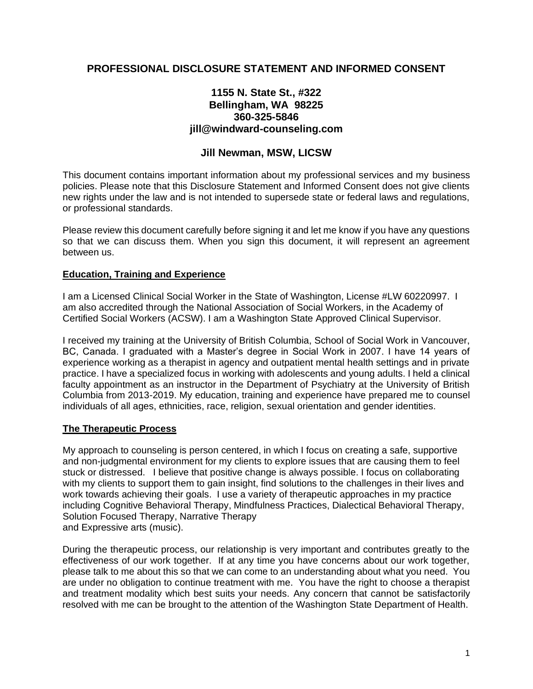# **PROFESSIONAL DISCLOSURE STATEMENT AND INFORMED CONSENT**

## **1155 N. State St., #322 Bellingham, WA 98225 360-325-5846 jill@windward-counseling.com**

## **Jill Newman, MSW, LICSW**

This document contains important information about my professional services and my business policies. Please note that this Disclosure Statement and Informed Consent does not give clients new rights under the law and is not intended to supersede state or federal laws and regulations, or professional standards.

Please review this document carefully before signing it and let me know if you have any questions so that we can discuss them. When you sign this document, it will represent an agreement between us.

#### **Education, Training and Experience**

I am a Licensed Clinical Social Worker in the State of Washington, License #LW 60220997. I am also accredited through the National Association of Social Workers, in the Academy of Certified Social Workers (ACSW). I am a Washington State Approved Clinical Supervisor.

I received my training at the University of British Columbia, School of Social Work in Vancouver, BC, Canada. I graduated with a Master's degree in Social Work in 2007. I have 14 years of experience working as a therapist in agency and outpatient mental health settings and in private practice. I have a specialized focus in working with adolescents and young adults. I held a clinical faculty appointment as an instructor in the Department of Psychiatry at the University of British Columbia from 2013-2019. My education, training and experience have prepared me to counsel individuals of all ages, ethnicities, race, religion, sexual orientation and gender identities.

### **The Therapeutic Process**

My approach to counseling is person centered, in which I focus on creating a safe, supportive and non-judgmental environment for my clients to explore issues that are causing them to feel stuck or distressed. I believe that positive change is always possible. I focus on collaborating with my clients to support them to gain insight, find solutions to the challenges in their lives and work towards achieving their goals. I use a variety of therapeutic approaches in my practice including Cognitive Behavioral Therapy, Mindfulness Practices, Dialectical Behavioral Therapy, Solution Focused Therapy, Narrative Therapy and Expressive arts (music).

During the therapeutic process, our relationship is very important and contributes greatly to the effectiveness of our work together. If at any time you have concerns about our work together, please talk to me about this so that we can come to an understanding about what you need. You are under no obligation to continue treatment with me. You have the right to choose a therapist and treatment modality which best suits your needs. Any concern that cannot be satisfactorily resolved with me can be brought to the attention of the Washington State Department of Health.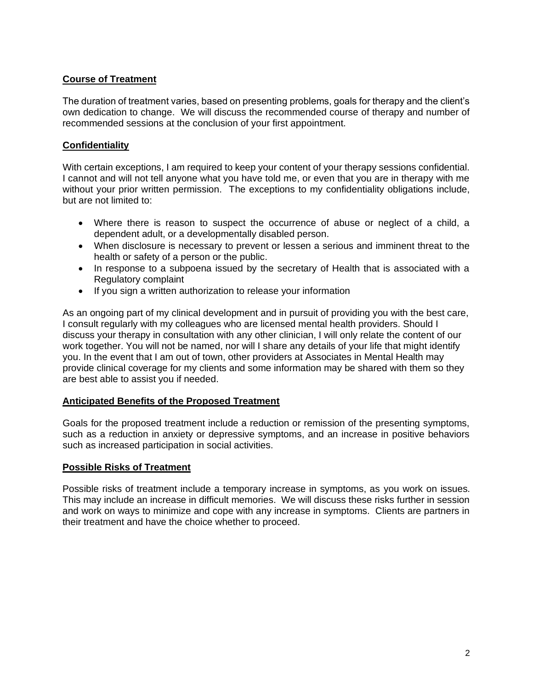## **Course of Treatment**

The duration of treatment varies, based on presenting problems, goals for therapy and the client's own dedication to change. We will discuss the recommended course of therapy and number of recommended sessions at the conclusion of your first appointment.

## **Confidentiality**

With certain exceptions, I am required to keep your content of your therapy sessions confidential. I cannot and will not tell anyone what you have told me, or even that you are in therapy with me without your prior written permission. The exceptions to my confidentiality obligations include, but are not limited to:

- Where there is reason to suspect the occurrence of abuse or neglect of a child, a dependent adult, or a developmentally disabled person.
- When disclosure is necessary to prevent or lessen a serious and imminent threat to the health or safety of a person or the public.
- In response to a subpoena issued by the secretary of Health that is associated with a Regulatory complaint
- If you sign a written authorization to release your information

As an ongoing part of my clinical development and in pursuit of providing you with the best care, I consult regularly with my colleagues who are licensed mental health providers. Should I discuss your therapy in consultation with any other clinician, I will only relate the content of our work together. You will not be named, nor will I share any details of your life that might identify you. In the event that I am out of town, other providers at Associates in Mental Health may provide clinical coverage for my clients and some information may be shared with them so they are best able to assist you if needed.

### **Anticipated Benefits of the Proposed Treatment**

Goals for the proposed treatment include a reduction or remission of the presenting symptoms, such as a reduction in anxiety or depressive symptoms, and an increase in positive behaviors such as increased participation in social activities.

### **Possible Risks of Treatment**

Possible risks of treatment include a temporary increase in symptoms, as you work on issues. This may include an increase in difficult memories. We will discuss these risks further in session and work on ways to minimize and cope with any increase in symptoms. Clients are partners in their treatment and have the choice whether to proceed.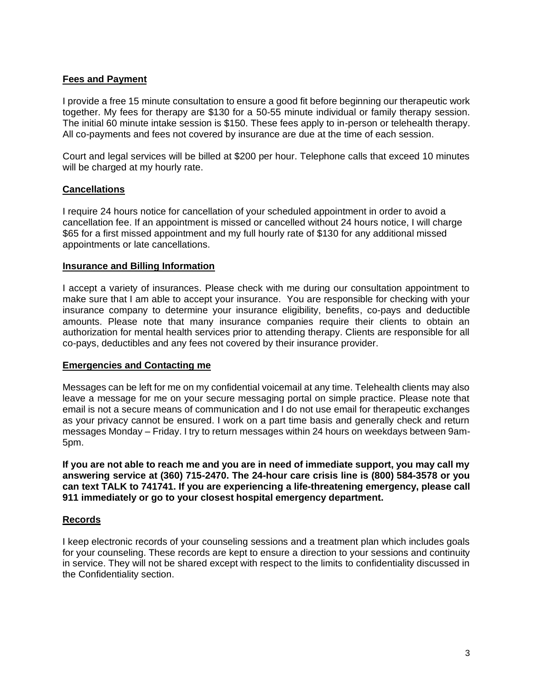## **Fees and Payment**

I provide a free 15 minute consultation to ensure a good fit before beginning our therapeutic work together. My fees for therapy are \$130 for a 50-55 minute individual or family therapy session. The initial 60 minute intake session is \$150. These fees apply to in-person or telehealth therapy. All co-payments and fees not covered by insurance are due at the time of each session.

Court and legal services will be billed at \$200 per hour. Telephone calls that exceed 10 minutes will be charged at my hourly rate.

### **Cancellations**

I require 24 hours notice for cancellation of your scheduled appointment in order to avoid a cancellation fee. If an appointment is missed or cancelled without 24 hours notice, I will charge \$65 for a first missed appointment and my full hourly rate of \$130 for any additional missed appointments or late cancellations.

#### **Insurance and Billing Information**

I accept a variety of insurances. Please check with me during our consultation appointment to make sure that I am able to accept your insurance. You are responsible for checking with your insurance company to determine your insurance eligibility, benefits, co-pays and deductible amounts. Please note that many insurance companies require their clients to obtain an authorization for mental health services prior to attending therapy. Clients are responsible for all co-pays, deductibles and any fees not covered by their insurance provider.

#### **Emergencies and Contacting me**

Messages can be left for me on my confidential voicemail at any time. Telehealth clients may also leave a message for me on your secure messaging portal on simple practice. Please note that email is not a secure means of communication and I do not use email for therapeutic exchanges as your privacy cannot be ensured. I work on a part time basis and generally check and return messages Monday – Friday. I try to return messages within 24 hours on weekdays between 9am-5pm.

**If you are not able to reach me and you are in need of immediate support, you may call my answering service at (360) 715-2470. The 24-hour care crisis line is (800) 584-3578 or you can text TALK to 741741. If you are experiencing a life-threatening emergency, please call 911 immediately or go to your closest hospital emergency department.** 

### **Records**

I keep electronic records of your counseling sessions and a treatment plan which includes goals for your counseling. These records are kept to ensure a direction to your sessions and continuity in service. They will not be shared except with respect to the limits to confidentiality discussed in the Confidentiality section.